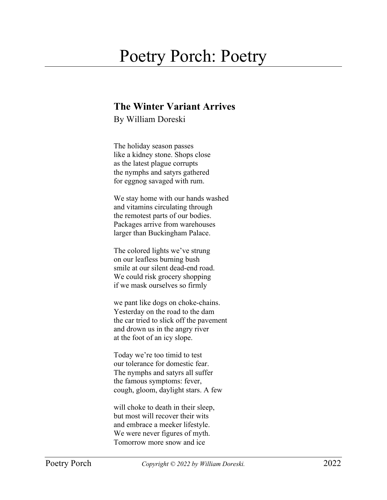## Poetry Porch: Poetry

## **The Winter Variant Arrives**

By William Doreski

The holiday season passes like a kidney stone. Shops close as the latest plague corrupts the nymphs and satyrs gathered for eggnog savaged with rum.

We stay home with our hands washed and vitamins circulating through the remotest parts of our bodies. Packages arrive from warehouses larger than Buckingham Palace.

The colored lights we've strung on our leafless burning bush smile at our silent dead-end road. We could risk grocery shopping if we mask ourselves so firmly

we pant like dogs on choke-chains. Yesterday on the road to the dam the car tried to slick off the pavement and drown us in the angry river at the foot of an icy slope.

Today we're too timid to test our tolerance for domestic fear. The nymphs and satyrs all suffer the famous symptoms: fever, cough, gloom, daylight stars. A few

will choke to death in their sleep, but most will recover their wits and embrace a meeker lifestyle. We were never figures of myth. Tomorrow more snow and ice